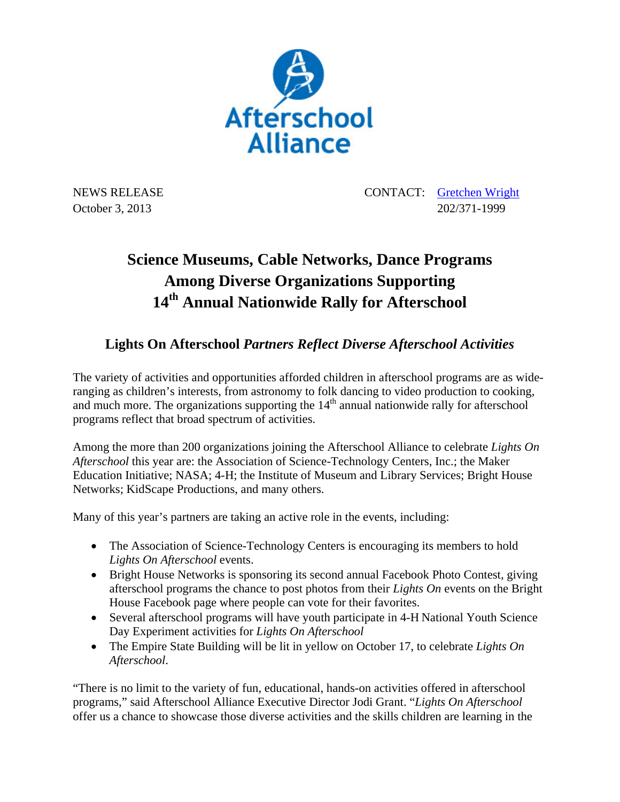

NEWS RELEASE CONTACT: Gretchen Wright October 3, 2013 202/371-1999

## **Science Museums, Cable Networks, Dance Programs Among Diverse Organizations Supporting 14th Annual Nationwide Rally for Afterschool**

## **Lights On Afterschool** *Partners Reflect Diverse Afterschool Activities*

The variety of activities and opportunities afforded children in afterschool programs are as wideranging as children's interests, from astronomy to folk dancing to video production to cooking, and much more. The organizations supporting the  $14<sup>th</sup>$  annual nationwide rally for afterschool programs reflect that broad spectrum of activities.

Among the more than 200 organizations joining the Afterschool Alliance to celebrate *Lights On Afterschool* this year are: the Association of Science-Technology Centers, Inc.; the Maker Education Initiative; NASA; 4-H; the Institute of Museum and Library Services; Bright House Networks; KidScape Productions, and many others.

Many of this year's partners are taking an active role in the events, including:

- The Association of Science-Technology Centers is encouraging its members to hold *Lights On Afterschool* events.
- Bright House Networks is sponsoring its second annual Facebook Photo Contest, giving afterschool programs the chance to post photos from their *Lights On* events on the Bright House Facebook page where people can vote for their favorites.
- Several afterschool programs will have youth participate in 4-H National Youth Science Day Experiment activities for *Lights On Afterschool*
- The Empire State Building will be lit in yellow on October 17, to celebrate *Lights On Afterschool*.

"There is no limit to the variety of fun, educational, hands-on activities offered in afterschool programs," said Afterschool Alliance Executive Director Jodi Grant. "*Lights On Afterschool* offer us a chance to showcase those diverse activities and the skills children are learning in the